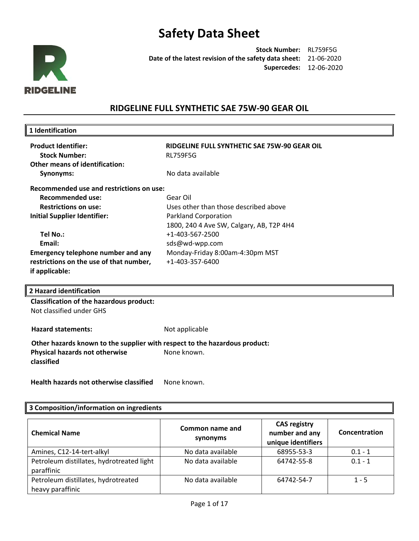

**Stock Number:** RL759F5G **Date of the latest revision of the safety data sheet:**  21-06-2020 **Supercedes:** 12-06-2020

### **RIDGELINE FULL SYNTHETIC SAE 75W-90 GEAR OIL**

| 1 Identification                                                           |                                              |
|----------------------------------------------------------------------------|----------------------------------------------|
| <b>Product Identifier:</b>                                                 | RIDGELINE FULL SYNTHETIC SAE 75W-90 GEAR OIL |
| <b>Stock Number:</b>                                                       | <b>RL759F5G</b>                              |
| <b>Other means of identification:</b>                                      |                                              |
| Synonyms:                                                                  | No data available                            |
|                                                                            |                                              |
| Recommended use and restrictions on use:                                   |                                              |
| <b>Recommended use:</b>                                                    | Gear Oil                                     |
| <b>Restrictions on use:</b>                                                | Uses other than those described above        |
| <b>Initial Supplier Identifier:</b>                                        | <b>Parkland Corporation</b>                  |
|                                                                            | 1800, 240 4 Ave SW, Calgary, AB, T2P 4H4     |
| Tel No.:                                                                   | +1-403-567-2500                              |
| Email:                                                                     | sds@wd-wpp.com                               |
| <b>Emergency telephone number and any</b>                                  | Monday-Friday 8:00am-4:30pm MST              |
| restrictions on the use of that number,                                    | +1-403-357-6400                              |
| if applicable:                                                             |                                              |
|                                                                            |                                              |
| 2 Hazard identification                                                    |                                              |
| <b>Classification of the hazardous product:</b>                            |                                              |
| Not classified under GHS                                                   |                                              |
|                                                                            |                                              |
| <b>Hazard statements:</b>                                                  | Not applicable                               |
| Other hazards known to the supplier with respect to the hazardous product: |                                              |
| Physical hazards not otherwise                                             | None known.                                  |
| classified                                                                 |                                              |

Health hazards not otherwise classified None known.

### **3 Composition/information on ingredients**

| <b>Chemical Name</b>                                    | Common name and<br>synonyms | <b>CAS registry</b><br>number and any<br>unique identifiers | Concentration |
|---------------------------------------------------------|-----------------------------|-------------------------------------------------------------|---------------|
| Amines, C12-14-tert-alkyl                               | No data available           | 68955-53-3                                                  | $0.1 - 1$     |
| Petroleum distillates, hydrotreated light<br>paraffinic | No data available           | 64742-55-8                                                  | $0.1 - 1$     |
| Petroleum distillates, hydrotreated<br>heavy paraffinic | No data available           | 64742-54-7                                                  | $1 - 5$       |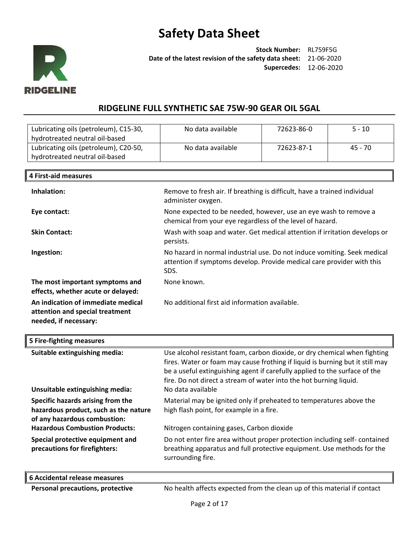

╨

**Stock Number:** RL759F5G **Date of the latest revision of the safety data sheet:** 21-06-2020 **Supercedes:** 12-06-2020

### **RIDGELINE FULL SYNTHETIC SAE 75W-90 GEAR OIL 5GAL**

| Lubricating oils (petroleum), C15-30,<br>hydrotreated neutral oil-based | No data available | 72623-86-0 | $5 - 10$ |
|-------------------------------------------------------------------------|-------------------|------------|----------|
| Lubricating oils (petroleum), C20-50,<br>hydrotreated neutral oil-based | No data available | 72623-87-1 | 45 - 70  |

| <b>4 First-aid measures</b>                                                                    |                                                                                                                                                            |
|------------------------------------------------------------------------------------------------|------------------------------------------------------------------------------------------------------------------------------------------------------------|
| Inhalation:                                                                                    | Remove to fresh air. If breathing is difficult, have a trained individual<br>administer oxygen.                                                            |
| Eye contact:                                                                                   | None expected to be needed, however, use an eye wash to remove a<br>chemical from your eye regardless of the level of hazard.                              |
| <b>Skin Contact:</b>                                                                           | Wash with soap and water. Get medical attention if irritation develops or<br>persists.                                                                     |
| Ingestion:                                                                                     | No hazard in normal industrial use. Do not induce vomiting. Seek medical<br>attention if symptoms develop. Provide medical care provider with this<br>SDS. |
| The most important symptoms and<br>effects, whether acute or delayed:                          | None known.                                                                                                                                                |
| An indication of immediate medical<br>attention and special treatment<br>needed, if necessary: | No additional first aid information available.                                                                                                             |

| 5 Fire-fighting measures                                                                                   |                                                                                                                                                                                                                                                                                                                                     |
|------------------------------------------------------------------------------------------------------------|-------------------------------------------------------------------------------------------------------------------------------------------------------------------------------------------------------------------------------------------------------------------------------------------------------------------------------------|
| Suitable extinguishing media:<br>Unsuitable extinguishing media:                                           | Use alcohol resistant foam, carbon dioxide, or dry chemical when fighting<br>fires. Water or foam may cause frothing if liquid is burning but it still may<br>be a useful extinguishing agent if carefully applied to the surface of the<br>fire. Do not direct a stream of water into the hot burning liquid.<br>No data available |
| Specific hazards arising from the<br>hazardous product, such as the nature<br>of any hazardous combustion: | Material may be ignited only if preheated to temperatures above the<br>high flash point, for example in a fire.                                                                                                                                                                                                                     |
| <b>Hazardous Combustion Products:</b><br>Special protective equipment and<br>precautions for firefighters: | Nitrogen containing gases, Carbon dioxide<br>Do not enter fire area without proper protection including self-contained<br>breathing apparatus and full protective equipment. Use methods for the<br>surrounding fire.                                                                                                               |
|                                                                                                            |                                                                                                                                                                                                                                                                                                                                     |

| 6 Accidental release measures    |                                                                          |
|----------------------------------|--------------------------------------------------------------------------|
| Personal precautions, protective | No health affects expected from the clean up of this material if contact |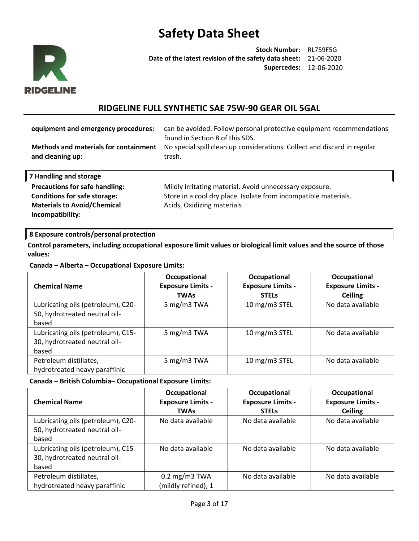

**Stock Number:** RL759F5G **Date of the latest revision of the safety data sheet:** 21-06-2020 **Supercedes:** 12-06-2020

### **RIDGELINE FULL SYNTHETIC SAE 75W-90 GEAR OIL 5GAL**

| equipment and emergency procedures:<br><b>Methods and materials for containment</b><br>and cleaning up: | can be avoided. Follow personal protective equipment recommendations<br>found in Section 8 of this SDS.<br>No special spill clean up considerations. Collect and discard in regular<br>trash. |
|---------------------------------------------------------------------------------------------------------|-----------------------------------------------------------------------------------------------------------------------------------------------------------------------------------------------|
| 7 Handling and storage                                                                                  |                                                                                                                                                                                               |
| <b>Precautions for safe handling:</b>                                                                   | Mildly irritating material. Avoid unnecessary exposure.                                                                                                                                       |

**Materials to Avoid/Chemical Incompatibility:** 

**Conditions for safe storage:** Store in a cool dry place. Isolate from incompatible materials. Acids, Oxidizing materials

### **8 Exposure controls/personal protection**

**Control parameters, including occupational exposure limit values or biological limit values and the source of those values:**

**Canada – Alberta – Occupational Exposure Limits:**

| <b>Chemical Name</b>               | Occupational<br><b>Exposure Limits -</b><br><b>TWAs</b> | Occupational<br><b>Exposure Limits -</b><br><b>STELS</b> | Occupational<br><b>Exposure Limits -</b><br><b>Ceiling</b> |
|------------------------------------|---------------------------------------------------------|----------------------------------------------------------|------------------------------------------------------------|
| Lubricating oils (petroleum), C20- | 5 mg/m3 TWA                                             | 10 mg/m3 STEL                                            | No data available                                          |
| 50, hydrotreated neutral oil-      |                                                         |                                                          |                                                            |
| based                              |                                                         |                                                          |                                                            |
| Lubricating oils (petroleum), C15- | 5 mg/m3 TWA                                             | 10 mg/m3 STEL                                            | No data available                                          |
| 30, hydrotreated neutral oil-      |                                                         |                                                          |                                                            |
| based                              |                                                         |                                                          |                                                            |
| Petroleum distillates,             | 5 mg/m3 TWA                                             | 10 mg/m3 STEL                                            | No data available                                          |
| hydrotreated heavy paraffinic      |                                                         |                                                          |                                                            |

#### **Canada – British Columbia– Occupational Exposure Limits:**

| <b>Chemical Name</b>               | Occupational<br><b>Exposure Limits -</b> | Occupational<br><b>Exposure Limits -</b> | Occupational<br><b>Exposure Limits -</b> |
|------------------------------------|------------------------------------------|------------------------------------------|------------------------------------------|
|                                    | <b>TWAs</b>                              | <b>STELS</b>                             | <b>Ceiling</b>                           |
| Lubricating oils (petroleum), C20- | No data available                        | No data available                        | No data available                        |
| 50, hydrotreated neutral oil-      |                                          |                                          |                                          |
| based                              |                                          |                                          |                                          |
| Lubricating oils (petroleum), C15- | No data available                        | No data available                        | No data available                        |
| 30, hydrotreated neutral oil-      |                                          |                                          |                                          |
| based                              |                                          |                                          |                                          |
| Petroleum distillates,             | $0.2 \text{ mg/m}$ 3 TWA                 | No data available                        | No data available                        |
| hydrotreated heavy paraffinic      | (mildly refined); 1                      |                                          |                                          |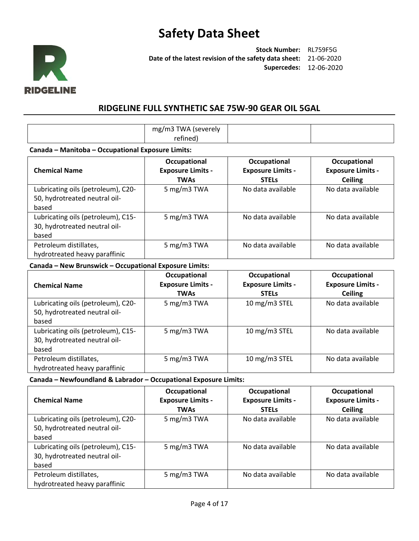

**Stock Number:** RL759F5G **Date of the latest revision of the safety data sheet:** 21-06-2020 **Supercedes:** 12-06-2020

### **RIDGELINE FULL SYNTHETIC SAE 75W-90 GEAR OIL 5GAL**

| ™∆<br>$\mathsf{m}\mathfrak{\sigma}$<br>'severely<br>ופיי<br>.<br>$\sim$ $-$ |  |  |
|-----------------------------------------------------------------------------|--|--|
|-----------------------------------------------------------------------------|--|--|

#### **Canada – Manitoba – Occupational Exposure Limits:**

| <b>Chemical Name</b>               | Occupational<br><b>Exposure Limits -</b><br><b>TWAs</b> | Occupational<br><b>Exposure Limits -</b><br><b>STELS</b> | Occupational<br><b>Exposure Limits -</b><br><b>Ceiling</b> |
|------------------------------------|---------------------------------------------------------|----------------------------------------------------------|------------------------------------------------------------|
| Lubricating oils (petroleum), C20- | 5 mg/m3 TWA                                             | No data available                                        | No data available                                          |
| 50, hydrotreated neutral oil-      |                                                         |                                                          |                                                            |
| based                              |                                                         |                                                          |                                                            |
| Lubricating oils (petroleum), C15- | 5 mg/m3 TWA                                             | No data available                                        | No data available                                          |
| 30, hydrotreated neutral oil-      |                                                         |                                                          |                                                            |
| based                              |                                                         |                                                          |                                                            |
| Petroleum distillates,             | 5 mg/m3 TWA                                             | No data available                                        | No data available                                          |
| hydrotreated heavy paraffinic      |                                                         |                                                          |                                                            |

### **Canada – New Brunswick – Occupational Exposure Limits:**

| <b>Chemical Name</b>                                                         | Occupational<br><b>Exposure Limits -</b><br><b>TWAs</b> | Occupational<br><b>Exposure Limits -</b><br><b>STELS</b> | Occupational<br><b>Exposure Limits -</b><br><b>Ceiling</b> |
|------------------------------------------------------------------------------|---------------------------------------------------------|----------------------------------------------------------|------------------------------------------------------------|
| Lubricating oils (petroleum), C20-<br>50, hydrotreated neutral oil-<br>based | 5 mg/m3 TWA                                             | 10 mg/m3 STEL                                            | No data available                                          |
| Lubricating oils (petroleum), C15-<br>30, hydrotreated neutral oil-<br>based | 5 mg/m3 TWA                                             | 10 mg/m3 STEL                                            | No data available                                          |
| Petroleum distillates,<br>hydrotreated heavy paraffinic                      | 5 mg/m3 TWA                                             | 10 mg/m3 STEL                                            | No data available                                          |

**Canada – Newfoundland & Labrador – Occupational Exposure Limits:** 

| <b>Chemical Name</b>                                                         | Occupational<br><b>Exposure Limits -</b><br><b>TWAs</b> | Occupational<br><b>Exposure Limits -</b><br><b>STELS</b> | Occupational<br><b>Exposure Limits -</b><br><b>Ceiling</b> |
|------------------------------------------------------------------------------|---------------------------------------------------------|----------------------------------------------------------|------------------------------------------------------------|
| Lubricating oils (petroleum), C20-<br>50, hydrotreated neutral oil-          | 5 mg/m3 TWA                                             | No data available                                        | No data available                                          |
| based                                                                        |                                                         |                                                          |                                                            |
| Lubricating oils (petroleum), C15-<br>30, hydrotreated neutral oil-<br>based | 5 mg/m3 TWA                                             | No data available                                        | No data available                                          |
| Petroleum distillates,<br>hydrotreated heavy paraffinic                      | 5 mg/m3 TWA                                             | No data available                                        | No data available                                          |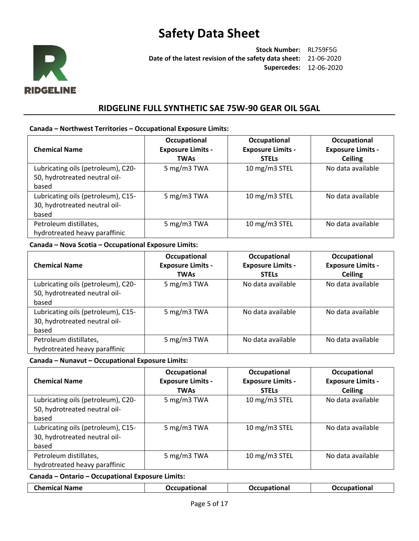

**Stock Number:** RL759F5G **Date of the latest revision of the safety data sheet:** 21-06-2020 **Supercedes:** 12-06-2020

### **RIDGELINE FULL SYNTHETIC SAE 75W-90 GEAR OIL 5GAL**

#### **Canada – Northwest Territories – Occupational Exposure Limits:**

| <b>Chemical Name</b>                                                         | Occupational<br><b>Exposure Limits -</b><br><b>TWAs</b> | Occupational<br><b>Exposure Limits -</b><br><b>STELS</b> | Occupational<br><b>Exposure Limits -</b><br><b>Ceiling</b> |
|------------------------------------------------------------------------------|---------------------------------------------------------|----------------------------------------------------------|------------------------------------------------------------|
| Lubricating oils (petroleum), C20-<br>50, hydrotreated neutral oil-<br>based | 5 mg/m3 TWA                                             | 10 mg/m3 STEL                                            | No data available                                          |
| Lubricating oils (petroleum), C15-<br>30, hydrotreated neutral oil-<br>based | 5 mg/m3 TWA                                             | 10 mg/m3 STEL                                            | No data available                                          |
| Petroleum distillates,<br>hydrotreated heavy paraffinic                      | 5 mg/m3 TWA                                             | 10 mg/m3 STEL                                            | No data available                                          |

### **Canada – Nova Scotia – Occupational Exposure Limits:**

| <b>Chemical Name</b>               | Occupational<br><b>Exposure Limits -</b><br><b>TWAs</b> | Occupational<br><b>Exposure Limits -</b><br><b>STELS</b> | Occupational<br><b>Exposure Limits -</b><br><b>Ceiling</b> |
|------------------------------------|---------------------------------------------------------|----------------------------------------------------------|------------------------------------------------------------|
| Lubricating oils (petroleum), C20- | 5 mg/m3 TWA                                             | No data available                                        | No data available                                          |
| 50, hydrotreated neutral oil-      |                                                         |                                                          |                                                            |
| based                              |                                                         |                                                          |                                                            |
| Lubricating oils (petroleum), C15- | 5 mg/m3 TWA                                             | No data available                                        | No data available                                          |
| 30, hydrotreated neutral oil-      |                                                         |                                                          |                                                            |
| based                              |                                                         |                                                          |                                                            |
| Petroleum distillates,             | 5 mg/m3 TWA                                             | No data available                                        | No data available                                          |
| hydrotreated heavy paraffinic      |                                                         |                                                          |                                                            |

#### **Canada – Nunavut – Occupational Exposure Limits:**

| <b>Chemical Name</b>                                                         | Occupational<br><b>Exposure Limits -</b><br><b>TWAs</b> | Occupational<br><b>Exposure Limits -</b><br><b>STELS</b> | Occupational<br><b>Exposure Limits -</b><br><b>Ceiling</b> |
|------------------------------------------------------------------------------|---------------------------------------------------------|----------------------------------------------------------|------------------------------------------------------------|
| Lubricating oils (petroleum), C20-<br>50, hydrotreated neutral oil-<br>based | 5 mg/m3 TWA                                             | 10 mg/m3 STEL                                            | No data available                                          |
| Lubricating oils (petroleum), C15-<br>30, hydrotreated neutral oil-<br>based | 5 mg/m3 TWA                                             | 10 mg/m3 STEL                                            | No data available                                          |
| Petroleum distillates,<br>hydrotreated heavy paraffinic                      | 5 mg/m3 TWA                                             | 10 mg/m3 STEL                                            | No data available                                          |

#### **Canada – Ontario – Occupational Exposure Limits:**

| <b>Chemical Name</b> | Occupational | <u>Паанианіаца I</u><br>nona | <b>Occupational</b> |
|----------------------|--------------|------------------------------|---------------------|
|                      |              |                              |                     |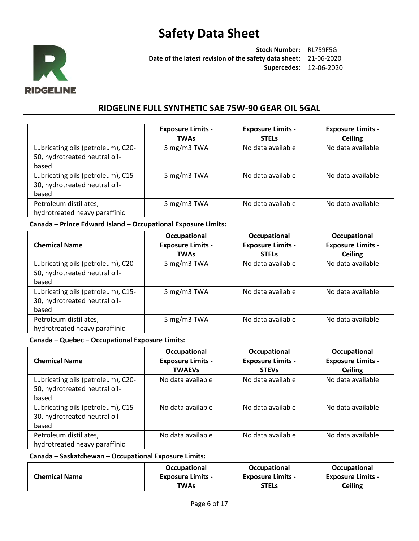

**Stock Number:** RL759F5G **Date of the latest revision of the safety data sheet:** 21-06-2020 **Supercedes:** 12-06-2020

### **RIDGELINE FULL SYNTHETIC SAE 75W-90 GEAR OIL 5GAL**

|                                                                              | <b>Exposure Limits -</b><br><b>TWAs</b> | <b>Exposure Limits -</b><br><b>STELS</b> | <b>Exposure Limits -</b><br><b>Ceiling</b> |
|------------------------------------------------------------------------------|-----------------------------------------|------------------------------------------|--------------------------------------------|
| Lubricating oils (petroleum), C20-<br>50, hydrotreated neutral oil-<br>based | 5 mg/m3 TWA                             | No data available                        | No data available                          |
| Lubricating oils (petroleum), C15-<br>30, hydrotreated neutral oil-<br>based | 5 mg/m3 TWA                             | No data available                        | No data available                          |
| Petroleum distillates,<br>hydrotreated heavy paraffinic                      | 5 mg/m3 TWA                             | No data available                        | No data available                          |

#### **Canada – Prince Edward Island – Occupational Exposure Limits:**

| <b>Chemical Name</b>                                                         | Occupational<br><b>Exposure Limits -</b><br><b>TWAs</b> | Occupational<br><b>Exposure Limits -</b><br><b>STELS</b> | Occupational<br><b>Exposure Limits -</b><br><b>Ceiling</b> |
|------------------------------------------------------------------------------|---------------------------------------------------------|----------------------------------------------------------|------------------------------------------------------------|
| Lubricating oils (petroleum), C20-<br>50, hydrotreated neutral oil-<br>based | 5 mg/m3 TWA                                             | No data available                                        | No data available                                          |
| Lubricating oils (petroleum), C15-<br>30, hydrotreated neutral oil-<br>based | 5 mg/m3 TWA                                             | No data available                                        | No data available                                          |
| Petroleum distillates,<br>hydrotreated heavy paraffinic                      | 5 mg/m3 TWA                                             | No data available                                        | No data available                                          |

### **Canada – Quebec – Occupational Exposure Limits:**

| <b>Chemical Name</b>               | Occupational<br><b>Exposure Limits -</b><br><b>TWAEVS</b> | Occupational<br><b>Exposure Limits -</b><br><b>STEVs</b> | Occupational<br><b>Exposure Limits -</b><br><b>Ceiling</b> |
|------------------------------------|-----------------------------------------------------------|----------------------------------------------------------|------------------------------------------------------------|
| Lubricating oils (petroleum), C20- | No data available                                         | No data available                                        | No data available                                          |
| 50, hydrotreated neutral oil-      |                                                           |                                                          |                                                            |
| based                              |                                                           |                                                          |                                                            |
| Lubricating oils (petroleum), C15- | No data available                                         | No data available                                        | No data available                                          |
| 30, hydrotreated neutral oil-      |                                                           |                                                          |                                                            |
| based                              |                                                           |                                                          |                                                            |
| Petroleum distillates,             | No data available                                         | No data available                                        | No data available                                          |
| hydrotreated heavy paraffinic      |                                                           |                                                          |                                                            |

### **Canada – Saskatchewan – Occupational Exposure Limits:**

|                      | <b>Occupational</b>      | <b>Occupational</b>      | <b>Occupational</b>      |
|----------------------|--------------------------|--------------------------|--------------------------|
| <b>Chemical Name</b> | <b>Exposure Limits -</b> | <b>Exposure Limits -</b> | <b>Exposure Limits -</b> |
|                      | TWAs                     | <b>STELs</b>             | Ceiling                  |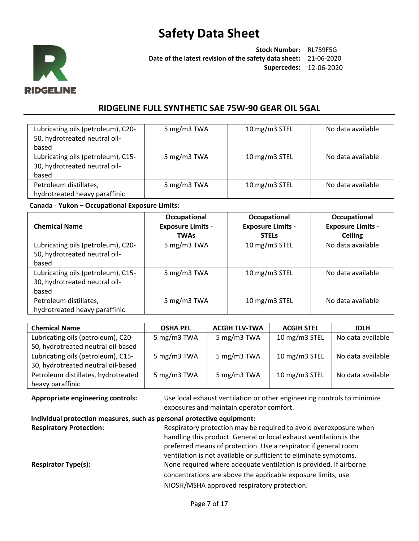

**Stock Number:** RL759F5G **Date of the latest revision of the safety data sheet:** 21-06-2020 **Supercedes:** 12-06-2020

### **RIDGELINE FULL SYNTHETIC SAE 75W-90 GEAR OIL 5GAL**

| Lubricating oils (petroleum), C20-<br>50, hydrotreated neutral oil-<br>based | 5 mg/m3 TWA | 10 mg/m3 STEL | No data available |
|------------------------------------------------------------------------------|-------------|---------------|-------------------|
| Lubricating oils (petroleum), C15-<br>30, hydrotreated neutral oil-<br>based | 5 mg/m3 TWA | 10 mg/m3 STEL | No data available |
| Petroleum distillates,<br>hydrotreated heavy paraffinic                      | 5 mg/m3 TWA | 10 mg/m3 STEL | No data available |

#### **Canada - Yukon – Occupational Exposure Limits:**

| <b>Chemical Name</b>               | Occupational<br><b>Exposure Limits -</b><br><b>TWAs</b> | Occupational<br><b>Exposure Limits -</b><br><b>STELS</b> | Occupational<br><b>Exposure Limits -</b><br><b>Ceiling</b> |
|------------------------------------|---------------------------------------------------------|----------------------------------------------------------|------------------------------------------------------------|
| Lubricating oils (petroleum), C20- | 5 mg/m3 TWA                                             | 10 mg/m3 STEL                                            | No data available                                          |
| 50, hydrotreated neutral oil-      |                                                         |                                                          |                                                            |
| based                              |                                                         |                                                          |                                                            |
| Lubricating oils (petroleum), C15- | 5 mg/m3 TWA                                             | 10 mg/m3 STEL                                            | No data available                                          |
| 30, hydrotreated neutral oil-      |                                                         |                                                          |                                                            |
| based                              |                                                         |                                                          |                                                            |
| Petroleum distillates,             | 5 mg/m3 TWA                                             | 10 mg/m3 STEL                                            | No data available                                          |
| hydrotreated heavy paraffinic      |                                                         |                                                          |                                                            |

| <b>Chemical Name</b>                | <b>OSHA PEL</b> | <b>ACGIH TLV-TWA</b> | <b>ACGIH STEL</b> | <b>IDLH</b>       |
|-------------------------------------|-----------------|----------------------|-------------------|-------------------|
| Lubricating oils (petroleum), C20-  | 5 mg/m3 TWA     | 5 mg/m3 TWA          | 10 mg/m3 STEL     | No data available |
| 50, hydrotreated neutral oil-based  |                 |                      |                   |                   |
| Lubricating oils (petroleum), C15-  | 5 mg/m3 TWA     | 5 mg/m3 TWA          | 10 mg/m3 STEL     | No data available |
| 30, hydrotreated neutral oil-based  |                 |                      |                   |                   |
| Petroleum distillates, hydrotreated | 5 mg/m3 TWA     | 5 mg/m3 TWA          | 10 mg/m3 STEL     | No data available |
| heavy paraffinic                    |                 |                      |                   |                   |

**Appropriate engineering controls:** Use local exhaust ventilation or other engineering controls to minimize exposures and maintain operator comfort.

### **Individual protection measures, such as personal protective equipment:**

**Respiratory Protection:** Respiratory protection may be required to avoid overexposure when handling this product. General or local exhaust ventilation is the preferred means of protection. Use a respirator if general room ventilation is not available or sufficient to eliminate symptoms. **Respirator Type(s):** None required where adequate ventilation is provided. If airborne concentrations are above the applicable exposure limits, use NIOSH/MSHA approved respiratory protection.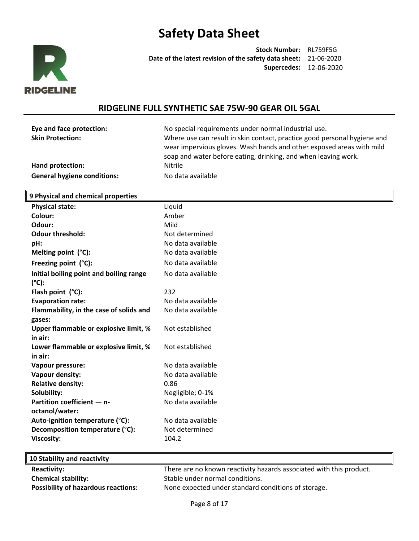

**Stock Number:** RL759F5G **Date of the latest revision of the safety data sheet:** 21-06-2020 **Supercedes:** 12-06-2020

### **RIDGELINE FULL SYNTHETIC SAE 75W-90 GEAR OIL 5GAL**

| Eye and face protection: |
|--------------------------|
| <b>Skin Protection:</b>  |

**Eye and face protection:** No special requirements under normal industrial use. Where use can result in skin contact, practice good personal hygiene and wear impervious gloves. Wash hands and other exposed areas with mild soap and water before eating, drinking, and when leaving work. **Hand protection:** Nitrile

**General hygiene conditions:** No data available

#### **9 Physical and chemical properties**

| <b>Physical state:</b>                           | Liquid            |
|--------------------------------------------------|-------------------|
| Colour:                                          | Amber             |
| Odour:                                           | Mild              |
| <b>Odour threshold:</b>                          | Not determined    |
| pH:                                              | No data available |
| Melting point (°C):                              | No data available |
| Freezing point (°C):                             | No data available |
| Initial boiling point and boiling range<br>(°C): | No data available |
| Flash point $(^{\circ}C)$ :                      | 232               |
| <b>Evaporation rate:</b>                         | No data available |
| Flammability, in the case of solids and          | No data available |
| gases:                                           |                   |
| Upper flammable or explosive limit, %            | Not established   |
| in air:                                          |                   |
| Lower flammable or explosive limit, %            | Not established   |
| in air:                                          |                   |
| Vapour pressure:                                 | No data available |
| Vapour density:                                  | No data available |
| <b>Relative density:</b>                         | 0.86              |
| Solubility:                                      | Negligible; 0-1%  |
| Partition coefficient - n-                       | No data available |
| octanol/water:                                   |                   |
| Auto-ignition temperature (°C):                  | No data available |
| Decomposition temperature (°C):                  | Not determined    |
| <b>Viscosity:</b>                                | 104.2             |
|                                                  |                   |

| 10 Stability and reactivity                |                                                                     |
|--------------------------------------------|---------------------------------------------------------------------|
| <b>Reactivity:</b>                         | There are no known reactivity hazards associated with this product. |
| <b>Chemical stability:</b>                 | Stable under normal conditions.                                     |
| <b>Possibility of hazardous reactions:</b> | None expected under standard conditions of storage.                 |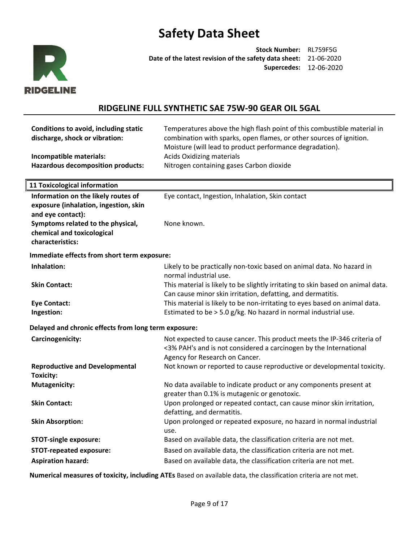

**Stock Number:** RL759F5G **Date of the latest revision of the safety data sheet:** 21-06-2020 **Supercedes:** 12-06-2020

## **RIDGELINE FULL SYNTHETIC SAE 75W-90 GEAR OIL 5GAL**

| Conditions to avoid, including static<br>discharge, shock or vibration:<br>Incompatible materials:<br><b>Hazardous decomposition products:</b> | Temperatures above the high flash point of this combustible material in<br>combination with sparks, open flames, or other sources of ignition.<br>Moisture (will lead to product performance degradation).<br><b>Acids Oxidizing materials</b><br>Nitrogen containing gases Carbon dioxide |  |  |  |
|------------------------------------------------------------------------------------------------------------------------------------------------|--------------------------------------------------------------------------------------------------------------------------------------------------------------------------------------------------------------------------------------------------------------------------------------------|--|--|--|
| <b>11 Toxicological information</b>                                                                                                            |                                                                                                                                                                                                                                                                                            |  |  |  |
| Information on the likely routes of<br>exposure (inhalation, ingestion, skin<br>and eye contact):<br>Symptoms related to the physical,         | Eye contact, Ingestion, Inhalation, Skin contact<br>None known.                                                                                                                                                                                                                            |  |  |  |
| chemical and toxicological<br>characteristics:                                                                                                 |                                                                                                                                                                                                                                                                                            |  |  |  |
| Immediate effects from short term exposure:                                                                                                    |                                                                                                                                                                                                                                                                                            |  |  |  |
| Inhalation:                                                                                                                                    | Likely to be practically non-toxic based on animal data. No hazard in<br>normal industrial use.                                                                                                                                                                                            |  |  |  |
| <b>Skin Contact:</b>                                                                                                                           | This material is likely to be slightly irritating to skin based on animal data.<br>Can cause minor skin irritation, defatting, and dermatitis.                                                                                                                                             |  |  |  |
| <b>Eye Contact:</b><br>Ingestion:                                                                                                              | This material is likely to be non-irritating to eyes based on animal data.<br>Estimated to be > 5.0 g/kg. No hazard in normal industrial use.                                                                                                                                              |  |  |  |
| Delayed and chronic effects from long term exposure:                                                                                           |                                                                                                                                                                                                                                                                                            |  |  |  |
| Carcinogenicity:                                                                                                                               | Not expected to cause cancer. This product meets the IP-346 criteria of<br><3% PAH's and is not considered a carcinogen by the International<br>Agency for Research on Cancer.                                                                                                             |  |  |  |
| <b>Reproductive and Developmental</b><br><b>Toxicity:</b>                                                                                      | Not known or reported to cause reproductive or developmental toxicity.                                                                                                                                                                                                                     |  |  |  |
| <b>Mutagenicity:</b>                                                                                                                           | No data available to indicate product or any components present at<br>greater than 0.1% is mutagenic or genotoxic.                                                                                                                                                                         |  |  |  |
| <b>Skin Contact:</b>                                                                                                                           | Upon prolonged or repeated contact, can cause minor skin irritation,<br>defatting, and dermatitis.                                                                                                                                                                                         |  |  |  |
| <b>Skin Absorption:</b>                                                                                                                        | Upon prolonged or repeated exposure, no hazard in normal industrial<br>use.                                                                                                                                                                                                                |  |  |  |
| <b>STOT-single exposure:</b>                                                                                                                   | Based on available data, the classification criteria are not met.                                                                                                                                                                                                                          |  |  |  |
| <b>STOT-repeated exposure:</b>                                                                                                                 | Based on available data, the classification criteria are not met.                                                                                                                                                                                                                          |  |  |  |
| <b>Aspiration hazard:</b>                                                                                                                      | Based on available data, the classification criteria are not met.                                                                                                                                                                                                                          |  |  |  |

**Numerical measures of toxicity, including ATEs** Based on available data, the classification criteria are not met.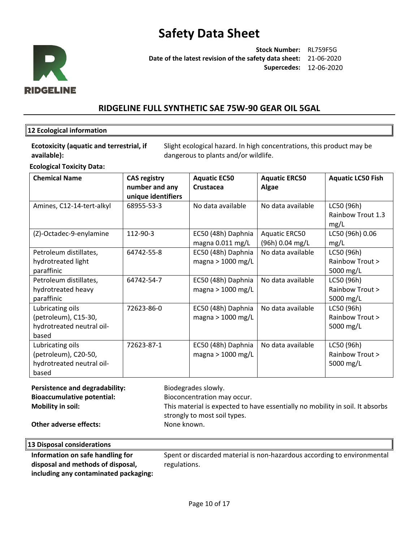

**Stock Number:** RL759F5G **Date of the latest revision of the safety data sheet:** 21-06-2020 **Supercedes:** 12-06-2020

### **RIDGELINE FULL SYNTHETIC SAE 75W-90 GEAR OIL 5GAL**

#### **12 Ecological information**

**Ecotoxicity (aquatic and terrestrial, if available):**

Slight ecological hazard. In high concentrations, this product may be dangerous to plants and/or wildlife.

**Ecological Toxicity Data:** 

| <b>Chemical Name</b>      | <b>CAS registry</b> | <b>Aquatic EC50</b> | <b>Aquatic ERC50</b> | <b>Aquatic LC50 Fish</b> |
|---------------------------|---------------------|---------------------|----------------------|--------------------------|
|                           | number and any      | Crustacea           | Algae                |                          |
|                           | unique identifiers  |                     |                      |                          |
| Amines, C12-14-tert-alkyl | 68955-53-3          | No data available   | No data available    | LC50 (96h)               |
|                           |                     |                     |                      | Rainbow Trout 1.3        |
|                           |                     |                     |                      | mg/L                     |
| (Z)-Octadec-9-enylamine   | 112-90-3            | EC50 (48h) Daphnia  | <b>Aquatic ERC50</b> | LC50 (96h) 0.06          |
|                           |                     | magna 0.011 mg/L    | (96h) 0.04 mg/L      | mg/L                     |
| Petroleum distillates,    | 64742-55-8          | EC50 (48h) Daphnia  | No data available    | LC50 (96h)               |
| hydrotreated light        |                     | magna > $1000$ mg/L |                      | Rainbow Trout >          |
| paraffinic                |                     |                     |                      | 5000 mg/L                |
| Petroleum distillates,    | 64742-54-7          | EC50 (48h) Daphnia  | No data available    | LC50 (96h)               |
| hydrotreated heavy        |                     | magna > $1000$ mg/L |                      | Rainbow Trout >          |
| paraffinic                |                     |                     |                      | 5000 mg/L                |
| Lubricating oils          | 72623-86-0          | EC50 (48h) Daphnia  | No data available    | LC50 (96h)               |
| (petroleum), C15-30,      |                     | magna > $1000$ mg/L |                      | Rainbow Trout >          |
| hydrotreated neutral oil- |                     |                     |                      | 5000 mg/L                |
| based                     |                     |                     |                      |                          |
| Lubricating oils          | 72623-87-1          | EC50 (48h) Daphnia  | No data available    | LC50 (96h)               |
| (petroleum), C20-50,      |                     | magna > $1000$ mg/L |                      | Rainbow Trout >          |
| hydrotreated neutral oil- |                     |                     |                      | 5000 mg/L                |
| based                     |                     |                     |                      |                          |

Persistence and degradability: Biodegrades slowly. **Bioaccumulative potential:** Bioconcentration may occur. **Mobility in soil:** This material is expected to have essentially no mobility in soil. It absorbs strongly to most soil types. **Other adverse effects:** None known.

**13 Disposal considerations**

**Information on safe handling for disposal and methods of disposal, including any contaminated packaging:** Spent or discarded material is non-hazardous according to environmental regulations.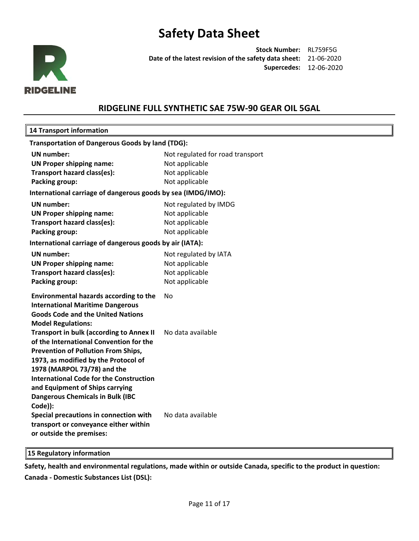

**Stock Number:** RL759F5G **Date of the latest revision of the safety data sheet:** 21-06-2020 **Supercedes:** 12-06-2020

### **RIDGELINE FULL SYNTHETIC SAE 75W-90 GEAR OIL 5GAL**

### **14 Transport information Transportation of Dangerous Goods by land (TDG):** UN number:  $\blacksquare$  Not regulated for road transport **UN Proper shipping name:** Not applicable **Transport hazard class(es):** Not applicable **Packing group:** Not applicable **International carriage of dangerous goods by sea (IMDG/IMO): UN number:** Not regulated by IMDG **UN Proper shipping name:** Not applicable **Transport hazard class(es):** Not applicable **Packing group:** Not applicable **International carriage of dangerous goods by air (IATA): UN number:** Not regulated by IATA **UN Proper shipping name:** Not applicable **Transport hazard class(es):** Not applicable **Packing group:** Not applicable **Environmental hazards according to the International Maritime Dangerous Goods Code and the United Nations Model Regulations:** No **Transport in bulk (according to Annex II of the International Convention for the Prevention of Pollution From Ships, 1973, as modified by the Protocol of 1978 (MARPOL 73/78) and the International Code for the Construction and Equipment of Ships carrying Dangerous Chemicals in Bulk (IBC Code)):** No data available **Special precautions in connection with transport or conveyance either within or outside the premises:**  No data available

**15 Regulatory information**

**Safety, health and environmental regulations, made within or outside Canada, specific to the product in question: Canada - Domestic Substances List (DSL):**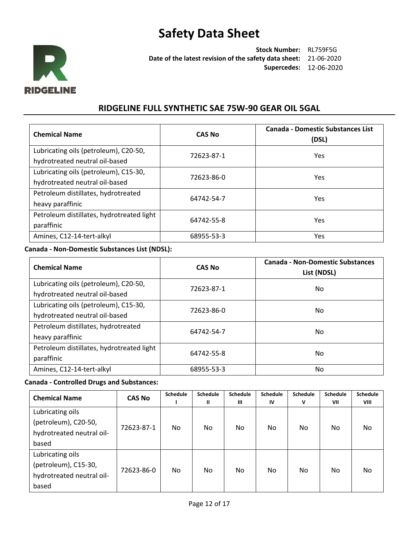

**Stock Number:** RL759F5G **Date of the latest revision of the safety data sheet:** 21-06-2020 **Supercedes:** 12-06-2020

### **RIDGELINE FULL SYNTHETIC SAE 75W-90 GEAR OIL 5GAL**

| <b>Chemical Name</b>                                                    | <b>CAS No</b> | <b>Canada - Domestic Substances List</b><br>(DSL) |
|-------------------------------------------------------------------------|---------------|---------------------------------------------------|
| Lubricating oils (petroleum), C20-50,<br>hydrotreated neutral oil-based | 72623-87-1    | Yes.                                              |
| Lubricating oils (petroleum), C15-30,<br>hydrotreated neutral oil-based | 72623-86-0    | <b>Yes</b>                                        |
| Petroleum distillates, hydrotreated<br>heavy paraffinic                 | 64742-54-7    | Yes                                               |
| Petroleum distillates, hydrotreated light<br>paraffinic                 | 64742-55-8    | Yes.                                              |
| Amines, C12-14-tert-alkyl                                               | 68955-53-3    | Yes                                               |

### **Canada - Non-Domestic Substances List (NDSL):**

| <b>Chemical Name</b>                                                    | <b>CAS No</b> |     |
|-------------------------------------------------------------------------|---------------|-----|
| Lubricating oils (petroleum), C20-50,<br>hydrotreated neutral oil-based | 72623-87-1    | No. |
| Lubricating oils (petroleum), C15-30,<br>hydrotreated neutral oil-based | 72623-86-0    | No. |
| Petroleum distillates, hydrotreated<br>heavy paraffinic                 | 64742-54-7    | No. |
| Petroleum distillates, hydrotreated light<br>paraffinic                 | 64742-55-8    | No. |
| Amines, C12-14-tert-alkyl                                               | 68955-53-3    | No  |

#### **Canada - Controlled Drugs and Substances:**

| <b>Chemical Name</b>      | <b>CAS No</b> | <b>Schedule</b> | <b>Schedule</b> | <b>Schedule</b> | <b>Schedule</b> | <b>Schedule</b> | <b>Schedule</b> | <b>Schedule</b> |
|---------------------------|---------------|-----------------|-----------------|-----------------|-----------------|-----------------|-----------------|-----------------|
|                           |               |                 | Ш               | $\mathbf{m}$    | IV              | v               | VII             | VIII            |
| Lubricating oils          |               |                 |                 |                 |                 |                 |                 |                 |
| (petroleum), C20-50,      |               |                 |                 |                 |                 |                 |                 |                 |
| hydrotreated neutral oil- | 72623-87-1    | No              | No.             | No              | No.             | No.             | No              | No.             |
| based                     |               |                 |                 |                 |                 |                 |                 |                 |
| Lubricating oils          |               |                 |                 |                 |                 |                 |                 |                 |
| (petroleum), C15-30,      | 72623-86-0    |                 |                 |                 |                 |                 |                 |                 |
| hydrotreated neutral oil- |               | No.             | No.             | No              | No.             | No.             | No              | No.             |
| based                     |               |                 |                 |                 |                 |                 |                 |                 |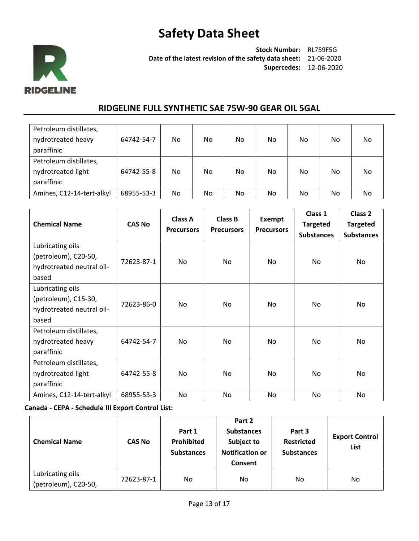

**Stock Number:** RL759F5G **Date of the latest revision of the safety data sheet:** 21-06-2020 **Supercedes:** 12-06-2020

### **RIDGELINE FULL SYNTHETIC SAE 75W-90 GEAR OIL 5GAL**

| Petroleum distillates,    |            |     |     |    |     |     |    |     |
|---------------------------|------------|-----|-----|----|-----|-----|----|-----|
| hydrotreated heavy        | 64742-54-7 | No. | No. | No | No. | No. | No | No. |
| paraffinic                |            |     |     |    |     |     |    |     |
| Petroleum distillates,    |            |     |     |    |     |     |    |     |
| hydrotreated light        | 64742-55-8 | No. | No. | No | No. | No. | No | No  |
| paraffinic                |            |     |     |    |     |     |    |     |
| Amines, C12-14-tert-alkyl | 68955-53-3 | No. | No. | No | No. | No. | No | No. |

| <b>Chemical Name</b>                                                           | <b>CAS No</b> | Class A<br><b>Precursors</b> | Class B<br><b>Precursors</b> | <b>Exempt</b><br><b>Precursors</b> | Class 1<br><b>Targeted</b><br><b>Substances</b> | Class <sub>2</sub><br><b>Targeted</b><br><b>Substances</b> |
|--------------------------------------------------------------------------------|---------------|------------------------------|------------------------------|------------------------------------|-------------------------------------------------|------------------------------------------------------------|
| Lubricating oils<br>(petroleum), C20-50,<br>hydrotreated neutral oil-<br>based | 72623-87-1    | No.                          | No                           | No.                                | No.                                             | No                                                         |
| Lubricating oils<br>(petroleum), C15-30,<br>hydrotreated neutral oil-<br>based | 72623-86-0    | No.                          | No                           | No.                                | No                                              | No.                                                        |
| Petroleum distillates,<br>hydrotreated heavy<br>paraffinic                     | 64742-54-7    | No.                          | No                           | No.                                | No                                              | No                                                         |
| Petroleum distillates,<br>hydrotreated light<br>paraffinic                     | 64742-55-8    | No.                          | No                           | No.                                | No.                                             | No                                                         |
| Amines, C12-14-tert-alkyl                                                      | 68955-53-3    | No.                          | No                           | No.                                | No                                              | No.                                                        |

**Canada - CEPA - Schedule III Export Control List:**

| <b>Chemical Name</b>                     | <b>CAS No</b> | Part 1<br>Prohibited<br><b>Substances</b> | Part 2<br><b>Substances</b><br>Subject to<br><b>Notification or</b><br>Consent | Part 3<br><b>Restricted</b><br><b>Substances</b> | <b>Export Control</b><br>List |
|------------------------------------------|---------------|-------------------------------------------|--------------------------------------------------------------------------------|--------------------------------------------------|-------------------------------|
| Lubricating oils<br>(petroleum), C20-50, | 72623-87-1    | No.                                       | No                                                                             | No                                               | No                            |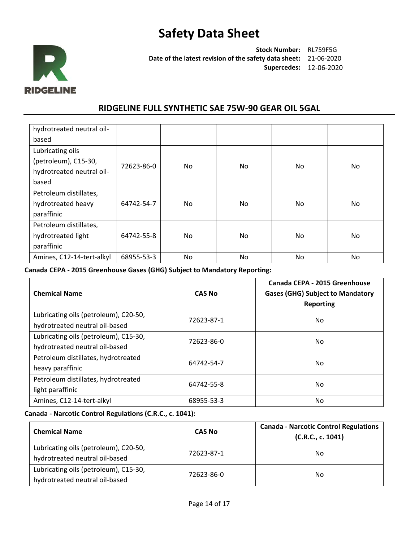

**Stock Number:** RL759F5G **Date of the latest revision of the safety data sheet:** 21-06-2020 **Supercedes:** 12-06-2020

### **RIDGELINE FULL SYNTHETIC SAE 75W-90 GEAR OIL 5GAL**

| hydrotreated neutral oil- |            |     |     |           |     |
|---------------------------|------------|-----|-----|-----------|-----|
| based                     |            |     |     |           |     |
| Lubricating oils          |            |     |     |           |     |
| (petroleum), C15-30,      | 72623-86-0 | No. | No  | <b>No</b> | No  |
| hydrotreated neutral oil- |            |     |     |           |     |
| based                     |            |     |     |           |     |
| Petroleum distillates,    |            |     |     |           |     |
| hydrotreated heavy        | 64742-54-7 | No. | No  | No.       | No. |
| paraffinic                |            |     |     |           |     |
| Petroleum distillates,    |            |     |     |           |     |
| hydrotreated light        | 64742-55-8 | No. | No. | No.       | No. |
| paraffinic                |            |     |     |           |     |
| Amines, C12-14-tert-alkyl | 68955-53-3 | No. | No  | No.       | No. |

**Canada CEPA - 2015 Greenhouse Gases (GHG) Subject to Mandatory Reporting:**

| <b>Chemical Name</b>                                                    | <b>CAS No</b> | Canada CEPA - 2015 Greenhouse<br><b>Gases (GHG) Subject to Mandatory</b><br><b>Reporting</b> |
|-------------------------------------------------------------------------|---------------|----------------------------------------------------------------------------------------------|
| Lubricating oils (petroleum), C20-50,<br>hydrotreated neutral oil-based | 72623-87-1    | No.                                                                                          |
| Lubricating oils (petroleum), C15-30,<br>hydrotreated neutral oil-based | 72623-86-0    | No.                                                                                          |
| Petroleum distillates, hydrotreated<br>heavy paraffinic                 | 64742-54-7    | No.                                                                                          |
| Petroleum distillates, hydrotreated<br>light paraffinic                 | 64742-55-8    | No.                                                                                          |
| Amines, C12-14-tert-alkyl                                               | 68955-53-3    | No                                                                                           |

### **Canada - Narcotic Control Regulations (C.R.C., c. 1041):**

| <b>Chemical Name</b>                                                    | <b>CAS No</b> | <b>Canada - Narcotic Control Regulations</b><br>(C.R.C., c. 1041) |
|-------------------------------------------------------------------------|---------------|-------------------------------------------------------------------|
| Lubricating oils (petroleum), C20-50,<br>hydrotreated neutral oil-based | 72623-87-1    | No.                                                               |
| Lubricating oils (petroleum), C15-30,<br>hydrotreated neutral oil-based | 72623-86-0    | No.                                                               |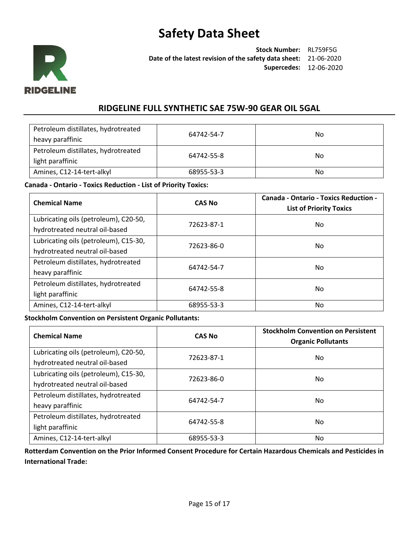

**Stock Number:** RL759F5G **Date of the latest revision of the safety data sheet:** 21-06-2020 **Supercedes:** 12-06-2020

### **RIDGELINE FULL SYNTHETIC SAE 75W-90 GEAR OIL 5GAL**

| Petroleum distillates, hydrotreated<br>heavy paraffinic | 64742-54-7 | No |
|---------------------------------------------------------|------------|----|
| Petroleum distillates, hydrotreated<br>light paraffinic | 64742-55-8 | No |
| Amines, C12-14-tert-alkyl                               | 68955-53-3 | No |

#### **Canada - Ontario - Toxics Reduction - List of Priority Toxics:**

| <b>Chemical Name</b>                  | <b>CAS No</b> | <b>Canada - Ontario - Toxics Reduction -</b><br><b>List of Priority Toxics</b> |
|---------------------------------------|---------------|--------------------------------------------------------------------------------|
| Lubricating oils (petroleum), C20-50, | 72623-87-1    | No.                                                                            |
| hydrotreated neutral oil-based        |               |                                                                                |
| Lubricating oils (petroleum), C15-30, | 72623-86-0    | No                                                                             |
| hydrotreated neutral oil-based        |               |                                                                                |
| Petroleum distillates, hydrotreated   | 64742-54-7    | No.                                                                            |
| heavy paraffinic                      |               |                                                                                |
| Petroleum distillates, hydrotreated   | 64742-55-8    | No.                                                                            |
| light paraffinic                      |               |                                                                                |
| Amines, C12-14-tert-alkyl             | 68955-53-3    | No.                                                                            |

#### **Stockholm Convention on Persistent Organic Pollutants:**

| <b>Chemical Name</b>                                                    | <b>CAS No</b> | <b>Stockholm Convention on Persistent</b><br><b>Organic Pollutants</b> |
|-------------------------------------------------------------------------|---------------|------------------------------------------------------------------------|
| Lubricating oils (petroleum), C20-50,<br>hydrotreated neutral oil-based | 72623-87-1    | No                                                                     |
| Lubricating oils (petroleum), C15-30,<br>hydrotreated neutral oil-based | 72623-86-0    | No.                                                                    |
| Petroleum distillates, hydrotreated<br>heavy paraffinic                 | 64742-54-7    | No                                                                     |
| Petroleum distillates, hydrotreated<br>light paraffinic                 | 64742-55-8    | No                                                                     |
| Amines, C12-14-tert-alkyl                                               | 68955-53-3    | No                                                                     |

**Rotterdam Convention on the Prior Informed Consent Procedure for Certain Hazardous Chemicals and Pesticides in International Trade:**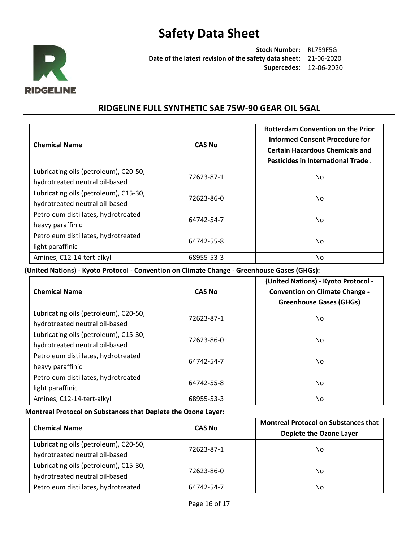

**Stock Number:** RL759F5G **Date of the latest revision of the safety data sheet:** 21-06-2020 **Supercedes:** 12-06-2020

### **RIDGELINE FULL SYNTHETIC SAE 75W-90 GEAR OIL 5GAL**

| <b>Chemical Name</b>                                                    | <b>CAS No</b> | <b>Rotterdam Convention on the Prior</b><br>Informed Consent Procedure for<br><b>Certain Hazardous Chemicals and</b><br>Pesticides in International Trade. |
|-------------------------------------------------------------------------|---------------|------------------------------------------------------------------------------------------------------------------------------------------------------------|
| Lubricating oils (petroleum), C20-50,                                   | 72623-87-1    | No.                                                                                                                                                        |
| hydrotreated neutral oil-based                                          |               |                                                                                                                                                            |
| Lubricating oils (petroleum), C15-30,<br>hydrotreated neutral oil-based | 72623-86-0    | No.                                                                                                                                                        |
| Petroleum distillates, hydrotreated<br>heavy paraffinic                 | 64742-54-7    | No.                                                                                                                                                        |
| Petroleum distillates, hydrotreated<br>light paraffinic                 | 64742-55-8    | No.                                                                                                                                                        |
| Amines, C12-14-tert-alkyl                                               | 68955-53-3    | No.                                                                                                                                                        |

**(United Nations) - Kyoto Protocol - Convention on Climate Change - Greenhouse Gases (GHGs):**

| <b>Chemical Name</b>                                                    | <b>CAS No</b> | (United Nations) - Kyoto Protocol -<br><b>Convention on Climate Change -</b><br><b>Greenhouse Gases (GHGs)</b> |
|-------------------------------------------------------------------------|---------------|----------------------------------------------------------------------------------------------------------------|
| Lubricating oils (petroleum), C20-50,<br>hydrotreated neutral oil-based | 72623-87-1    | No.                                                                                                            |
| Lubricating oils (petroleum), C15-30,<br>hydrotreated neutral oil-based | 72623-86-0    | No.                                                                                                            |
| Petroleum distillates, hydrotreated<br>heavy paraffinic                 | 64742-54-7    | No.                                                                                                            |
| Petroleum distillates, hydrotreated<br>light paraffinic                 | 64742-55-8    | No.                                                                                                            |
| Amines, C12-14-tert-alkyl                                               | 68955-53-3    | No                                                                                                             |

### **Montreal Protocol on Substances that Deplete the Ozone Layer:**

| <b>Chemical Name</b>                                                    | <b>CAS No</b> | <b>Montreal Protocol on Substances that</b><br>Deplete the Ozone Layer |
|-------------------------------------------------------------------------|---------------|------------------------------------------------------------------------|
| Lubricating oils (petroleum), C20-50,<br>hydrotreated neutral oil-based | 72623-87-1    | No.                                                                    |
| Lubricating oils (petroleum), C15-30,<br>hydrotreated neutral oil-based | 72623-86-0    | No                                                                     |
| Petroleum distillates, hydrotreated                                     | 64742-54-7    | No                                                                     |